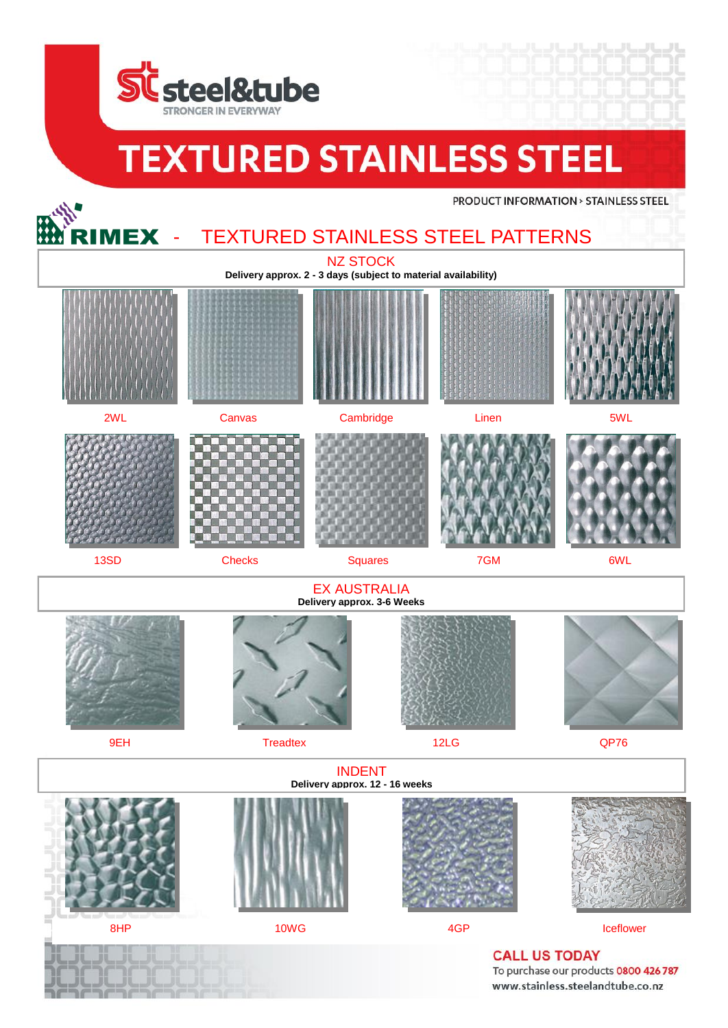